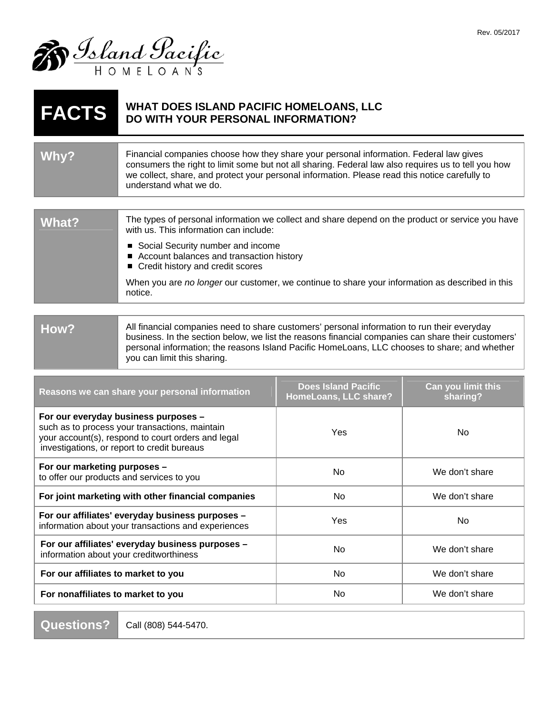

## **FACTS** WHAT DOES ISLAND PACIFIC HOMELOANS, LLC **DO WITH YOUR PERSONAL INFORMATION?**

| Why? | Financial companies choose how they share your personal information. Federal law gives<br>consumers the right to limit some but not all sharing. Federal law also requires us to tell you how<br>we collect, share, and protect your personal information. Please read this notice carefully to<br>understand what we do. |
|------|---------------------------------------------------------------------------------------------------------------------------------------------------------------------------------------------------------------------------------------------------------------------------------------------------------------------------|
|      |                                                                                                                                                                                                                                                                                                                           |

| What? | The types of personal information we collect and share depend on the product or service you have<br>with us. This information can include: |
|-------|--------------------------------------------------------------------------------------------------------------------------------------------|
|       | ■ Social Security number and income<br>■ Account balances and transaction history<br>■ Credit history and credit scores                    |
|       | When you are no longer our customer, we continue to share your information as described in this<br>notice.                                 |
|       |                                                                                                                                            |

| How?                                                                                          | All financial companies need to share customers' personal information to run their everyday        |
|-----------------------------------------------------------------------------------------------|----------------------------------------------------------------------------------------------------|
|                                                                                               | business. In the section below, we list the reasons financial companies can share their customers' |
| personal information; the reasons Island Pacific HomeLoans, LLC chooses to share; and whether |                                                                                                    |
|                                                                                               | you can limit this sharing.                                                                        |

| Reasons we can share your personal information                                                                                                                                              | <b>Does Island Pacific</b><br>HomeLoans, LLC share? | Can you limit this<br>sharing? |
|---------------------------------------------------------------------------------------------------------------------------------------------------------------------------------------------|-----------------------------------------------------|--------------------------------|
| For our everyday business purposes -<br>such as to process your transactions, maintain<br>your account(s), respond to court orders and legal<br>investigations, or report to credit bureaus | Yes                                                 | No.                            |
| For our marketing purposes -<br>to offer our products and services to you                                                                                                                   | No.                                                 | We don't share                 |
| For joint marketing with other financial companies                                                                                                                                          | <b>No</b>                                           | We don't share                 |
| For our affiliates' everyday business purposes -<br>information about your transactions and experiences                                                                                     | Yes                                                 | No.                            |
| For our affiliates' everyday business purposes -<br>information about your creditworthiness                                                                                                 | No.                                                 | We don't share                 |
| For our affiliates to market to you                                                                                                                                                         | <b>No</b>                                           | We don't share                 |
| For nonaffiliates to market to you                                                                                                                                                          | No.                                                 | We don't share                 |

**Questions? Call (808) 544-5470.**